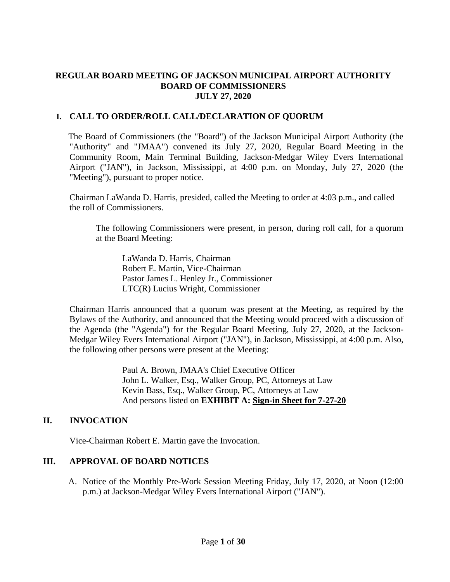### **REGULAR BOARD MEETING OF JACKSON MUNICIPAL AIRPORT AUTHORITY BOARD OF COMMISSIONERS JULY 27, 2020**

### **I. CALL TO ORDER/ROLL CALL/DECLARATION OF QUORUM**

The Board of Commissioners (the "Board") of the Jackson Municipal Airport Authority (the "Authority" and "JMAA") convened its July 27, 2020, Regular Board Meeting in the Community Room, Main Terminal Building, Jackson-Medgar Wiley Evers International Airport ("JAN"), in Jackson, Mississippi, at 4:00 p.m. on Monday, July 27, 2020 (the "Meeting"), pursuant to proper notice.

Chairman LaWanda D. Harris, presided, called the Meeting to order at 4:03 p.m., and called the roll of Commissioners.

The following Commissioners were present, in person, during roll call, for a quorum at the Board Meeting:

LaWanda D. Harris, Chairman Robert E. Martin, Vice-Chairman Pastor James L. Henley Jr., Commissioner LTC(R) Lucius Wright, Commissioner

Chairman Harris announced that a quorum was present at the Meeting, as required by the Bylaws of the Authority, and announced that the Meeting would proceed with a discussion of the Agenda (the "Agenda") for the Regular Board Meeting, July 27, 2020, at the Jackson-Medgar Wiley Evers International Airport ("JAN"), in Jackson, Mississippi, at 4:00 p.m. Also, the following other persons were present at the Meeting:

> Paul A. Brown, JMAA's Chief Executive Officer John L. Walker, Esq., Walker Group, PC, Attorneys at Law Kevin Bass, Esq., Walker Group, PC, Attorneys at Law And persons listed on **EXHIBIT A: Sign[-in](file:///C:/Users/kevin/AppData/Local/Microsoft/Windows/Temporary%20Internet%20Files/2019-01-28%20Board%20Meeting/2017-07-27%20Board%20Meeting/2016-09-22%20Board%20Meeting/Rescheduled%20Regular%20Board%20Meeting%20Sign%20in%20Sheet%20August%2029%202016.pdf) Sheet for 7-27-20**

### **II. INVOCATION**

Vice-Chairman Robert E. Martin gave the Invocation.

# **III. APPROVAL OF BOARD NOTICES**

A. Notice of the Monthly Pre-Work Session Meeting Friday, July 17, 2020, at Noon (12:00 p.m.) at Jackson-Medgar Wiley Evers International Airport ("JAN").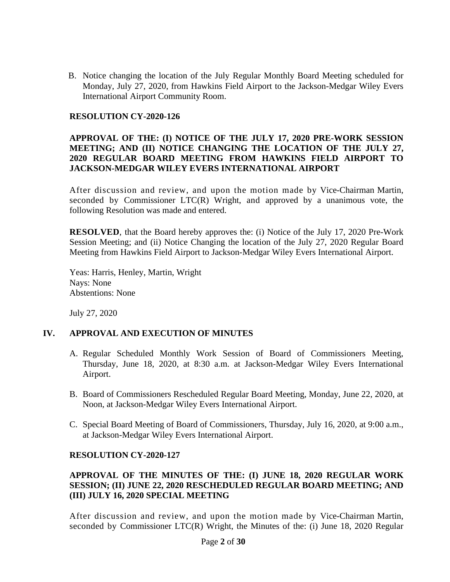B. Notice changing the location of the July Regular Monthly Board Meeting scheduled for Monday, July 27, 2020, from Hawkins Field Airport to the Jackson-Medgar Wiley Evers International Airport Community Room.

#### **RESOLUTION CY-2020-126**

### **APPROVAL OF THE: (I) NOTICE OF THE JULY 17, 2020 PRE-WORK SESSION MEETING; AND (II) NOTICE CHANGING THE LOCATION OF THE JULY 27, 2020 REGULAR BOARD MEETING FROM HAWKINS FIELD AIRPORT TO JACKSON-MEDGAR WILEY EVERS INTERNATIONAL AIRPORT**

After discussion and review, and upon the motion made by Vice-Chairman Martin, seconded by Commissioner LTC(R) Wright, and approved by a unanimous vote, the following Resolution was made and entered.

**RESOLVED**, that the Board hereby approves the: (i) Notice of the July 17, 2020 Pre-Work Session Meeting; and (ii) Notice Changing the location of the July 27, 2020 Regular Board Meeting from Hawkins Field Airport to Jackson-Medgar Wiley Evers International Airport.

Yeas: Harris, Henley, Martin, Wright Nays: None Abstentions: None

July 27, 2020

### **IV. APPROVAL AND EXECUTION OF MINUTES**

- A. Regular Scheduled Monthly Work Session of Board of Commissioners Meeting, Thursday, June 18, 2020, at 8:30 a.m. at Jackson-Medgar Wiley Evers International Airport.
- B. Board of Commissioners Rescheduled Regular Board Meeting, Monday, June 22, 2020, at Noon, at Jackson-Medgar Wiley Evers International Airport.
- C. Special Board Meeting of Board of Commissioners, Thursday, July 16, 2020, at 9:00 a.m., at Jackson-Medgar Wiley Evers International Airport.

### **RESOLUTION CY-2020-127**

#### **APPROVAL OF THE MINUTES OF THE: (I) JUNE 18, 2020 REGULAR WORK SESSION; (II) JUNE 22, 2020 RESCHEDULED REGULAR BOARD MEETING; AND (III) JULY 16, 2020 SPECIAL MEETING**

After discussion and review, and upon the motion made by Vice-Chairman Martin, seconded by Commissioner LTC(R) Wright, the Minutes of the: (i) June 18, 2020 Regular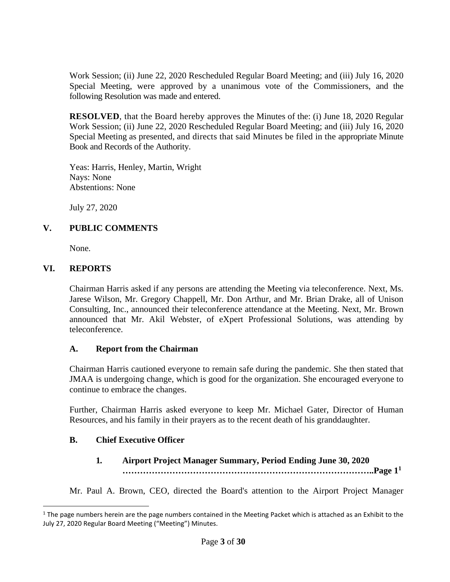Work Session; (ii) June 22, 2020 Rescheduled Regular Board Meeting; and (iii) July 16, 2020 Special Meeting, were approved by a unanimous vote of the Commissioners, and the following Resolution was made and entered.

**RESOLVED**, that the Board hereby approves the Minutes of the: (i) June 18, 2020 Regular Work Session; (ii) June 22, 2020 Rescheduled Regular Board Meeting; and (iii) July 16, 2020 Special Meeting as presented, and directs that said Minutes be filed in the appropriate Minute Book and Records of the Authority.

Yeas: Harris, Henley, Martin, Wright Nays: None Abstentions: None

July 27, 2020

# **V. PUBLIC COMMENTS**

None.

### **VI. REPORTS**

Chairman Harris asked if any persons are attending the Meeting via teleconference. Next, Ms. Jarese Wilson, Mr. Gregory Chappell, Mr. Don Arthur, and Mr. Brian Drake, all of Unison Consulting, Inc., announced their teleconference attendance at the Meeting. Next, Mr. Brown announced that Mr. Akil Webster, of eXpert Professional Solutions, was attending by teleconference.

### **A. Report from the Chairman**

Chairman Harris cautioned everyone to remain safe during the pandemic. She then stated that JMAA is undergoing change, which is good for the organization. She encouraged everyone to continue to embrace the changes.

Further, Chairman Harris asked everyone to keep Mr. Michael Gater, Director of Human Resources, and his family in their prayers as to the recent death of his granddaughter.

# **B. Chief Executive Officer**

**1***.* **Airport Project Manager Summary, Period Ending June 30, 2020 …………………………………………………………………………..Page 1 1**

Mr. Paul A. Brown, CEO, directed the Board's attention to the Airport Project Manager

 $1$  The page numbers herein are the page numbers contained in the Meeting Packet which is attached as an Exhibit to the July 27, 2020 Regular Board Meeting ("Meeting") Minutes.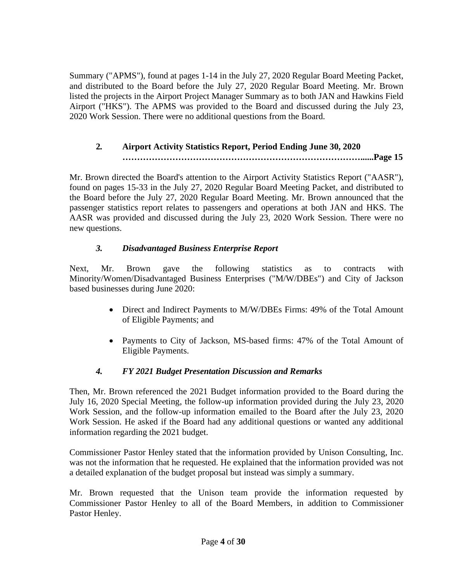Summary ("APMS"), found at pages 1-14 in the July 27, 2020 Regular Board Meeting Packet, and distributed to the Board before the July 27, 2020 Regular Board Meeting. Mr. Brown listed the projects in the Airport Project Manager Summary as to both JAN and Hawkins Field Airport ("HKS"). The APMS was provided to the Board and discussed during the July 23, 2020 Work Session. There were no additional questions from the Board.

# **2***.* **Airport Activity Statistics Report, Period Ending June 30, 2020 ………………………………………………………………………......Page 15**

Mr. Brown directed the Board's attention to the Airport Activity Statistics Report ("AASR"), found on pages 15-33 in the July 27, 2020 Regular Board Meeting Packet, and distributed to the Board before the July 27, 2020 Regular Board Meeting. Mr. Brown announced that the passenger statistics report relates to passengers and operations at both JAN and HKS. The AASR was provided and discussed during the July 23, 2020 Work Session. There were no new questions.

# *3. Disadvantaged Business Enterprise Report*

Next, Mr. Brown gave the following statistics as to contracts with Minority/Women/Disadvantaged Business Enterprises ("M/W/DBEs") and City of Jackson based businesses during June 2020:

- Direct and Indirect Payments to M/W/DBEs Firms: 49% of the Total Amount of Eligible Payments; and
- Payments to City of Jackson, MS-based firms: 47% of the Total Amount of Eligible Payments.

# *4. FY 2021 Budget Presentation Discussion and Remarks*

Then, Mr. Brown referenced the 2021 Budget information provided to the Board during the July 16, 2020 Special Meeting, the follow-up information provided during the July 23, 2020 Work Session, and the follow-up information emailed to the Board after the July 23, 2020 Work Session. He asked if the Board had any additional questions or wanted any additional information regarding the 2021 budget.

Commissioner Pastor Henley stated that the information provided by Unison Consulting, Inc. was not the information that he requested. He explained that the information provided was not a detailed explanation of the budget proposal but instead was simply a summary.

Mr. Brown requested that the Unison team provide the information requested by Commissioner Pastor Henley to all of the Board Members, in addition to Commissioner Pastor Henley.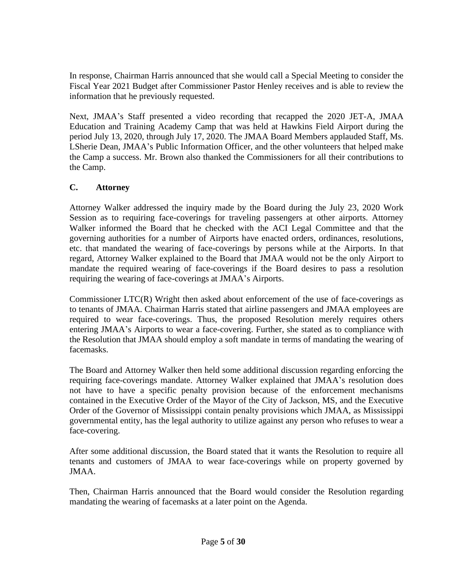In response, Chairman Harris announced that she would call a Special Meeting to consider the Fiscal Year 2021 Budget after Commissioner Pastor Henley receives and is able to review the information that he previously requested.

Next, JMAA's Staff presented a video recording that recapped the 2020 JET-A, JMAA Education and Training Academy Camp that was held at Hawkins Field Airport during the period July 13, 2020, through July 17, 2020. The JMAA Board Members applauded Staff, Ms. LSherie Dean, JMAA's Public Information Officer, and the other volunteers that helped make the Camp a success. Mr. Brown also thanked the Commissioners for all their contributions to the Camp.

# **C. Attorney**

Attorney Walker addressed the inquiry made by the Board during the July 23, 2020 Work Session as to requiring face-coverings for traveling passengers at other airports. Attorney Walker informed the Board that he checked with the ACI Legal Committee and that the governing authorities for a number of Airports have enacted orders, ordinances, resolutions, etc. that mandated the wearing of face-coverings by persons while at the Airports. In that regard, Attorney Walker explained to the Board that JMAA would not be the only Airport to mandate the required wearing of face-coverings if the Board desires to pass a resolution requiring the wearing of face-coverings at JMAA's Airports.

Commissioner LTC(R) Wright then asked about enforcement of the use of face-coverings as to tenants of JMAA. Chairman Harris stated that airline passengers and JMAA employees are required to wear face-coverings. Thus, the proposed Resolution merely requires others entering JMAA's Airports to wear a face-covering. Further, she stated as to compliance with the Resolution that JMAA should employ a soft mandate in terms of mandating the wearing of facemasks.

The Board and Attorney Walker then held some additional discussion regarding enforcing the requiring face-coverings mandate. Attorney Walker explained that JMAA's resolution does not have to have a specific penalty provision because of the enforcement mechanisms contained in the Executive Order of the Mayor of the City of Jackson, MS, and the Executive Order of the Governor of Mississippi contain penalty provisions which JMAA, as Mississippi governmental entity, has the legal authority to utilize against any person who refuses to wear a face-covering.

After some additional discussion, the Board stated that it wants the Resolution to require all tenants and customers of JMAA to wear face-coverings while on property governed by JMAA.

Then, Chairman Harris announced that the Board would consider the Resolution regarding mandating the wearing of facemasks at a later point on the Agenda.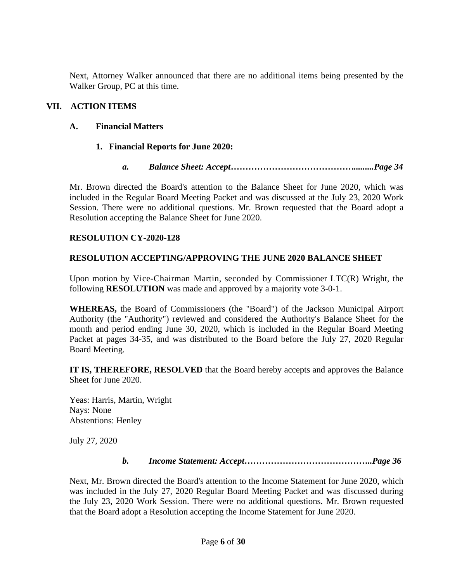Next, Attorney Walker announced that there are no additional items being presented by the Walker Group, PC at this time.

### **VII. ACTION ITEMS**

### **A. Financial Matters**

### **1. Financial Reports for June 2020:**

*a. Balance Sheet: Accept…………………………………….........Page 34*

Mr. Brown directed the Board's attention to the Balance Sheet for June 2020, which was included in the Regular Board Meeting Packet and was discussed at the July 23, 2020 Work Session. There were no additional questions. Mr. Brown requested that the Board adopt a Resolution accepting the Balance Sheet for June 2020.

### **RESOLUTION CY-2020-128**

### **RESOLUTION ACCEPTING/APPROVING THE JUNE 2020 BALANCE SHEET**

Upon motion by Vice-Chairman Martin, seconded by Commissioner LTC(R) Wright, the following **RESOLUTION** was made and approved by a majority vote 3-0-1.

**WHEREAS,** the Board of Commissioners (the "Board") of the Jackson Municipal Airport Authority (the "Authority") reviewed and considered the Authority's Balance Sheet for the month and period ending June 30, 2020, which is included in the Regular Board Meeting Packet at pages 34-35, and was distributed to the Board before the July 27, 2020 Regular Board Meeting.

**IT IS, THEREFORE, RESOLVED** that the Board hereby accepts and approves the Balance Sheet for June 2020.

Yeas: Harris, Martin, Wright Nays: None Abstentions: Henley

July 27, 2020

### *b. Income Statement: Accept……………………………………..Page 36*

Next, Mr. Brown directed the Board's attention to the Income Statement for June 2020, which was included in the July 27, 2020 Regular Board Meeting Packet and was discussed during the July 23, 2020 Work Session. There were no additional questions. Mr. Brown requested that the Board adopt a Resolution accepting the Income Statement for June 2020.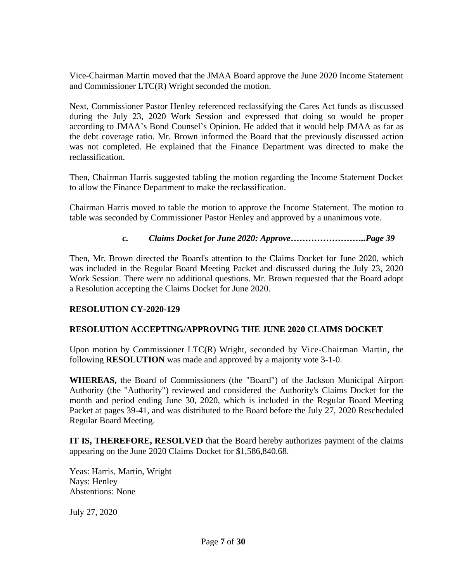Vice-Chairman Martin moved that the JMAA Board approve the June 2020 Income Statement and Commissioner LTC(R) Wright seconded the motion.

Next, Commissioner Pastor Henley referenced reclassifying the Cares Act funds as discussed during the July 23, 2020 Work Session and expressed that doing so would be proper according to JMAA's Bond Counsel's Opinion. He added that it would help JMAA as far as the debt coverage ratio. Mr. Brown informed the Board that the previously discussed action was not completed. He explained that the Finance Department was directed to make the reclassification.

Then, Chairman Harris suggested tabling the motion regarding the Income Statement Docket to allow the Finance Department to make the reclassification.

Chairman Harris moved to table the motion to approve the Income Statement. The motion to table was seconded by Commissioner Pastor Henley and approved by a unanimous vote.

*c. Claims Docket for June 2020: Approve……………………..Page 39*

Then, Mr. Brown directed the Board's attention to the Claims Docket for June 2020, which was included in the Regular Board Meeting Packet and discussed during the July 23, 2020 Work Session. There were no additional questions. Mr. Brown requested that the Board adopt a Resolution accepting the Claims Docket for June 2020.

### **RESOLUTION CY-2020-129**

### **RESOLUTION ACCEPTING/APPROVING THE JUNE 2020 CLAIMS DOCKET**

Upon motion by Commissioner LTC(R) Wright, seconded by Vice-Chairman Martin, the following **RESOLUTION** was made and approved by a majority vote 3-1-0.

**WHEREAS,** the Board of Commissioners (the "Board") of the Jackson Municipal Airport Authority (the "Authority") reviewed and considered the Authority's Claims Docket for the month and period ending June 30, 2020, which is included in the Regular Board Meeting Packet at pages 39-41, and was distributed to the Board before the July 27, 2020 Rescheduled Regular Board Meeting.

**IT IS, THEREFORE, RESOLVED** that the Board hereby authorizes payment of the claims appearing on the June 2020 Claims Docket for \$1,586,840.68.

Yeas: Harris, Martin, Wright Nays: Henley Abstentions: None

July 27, 2020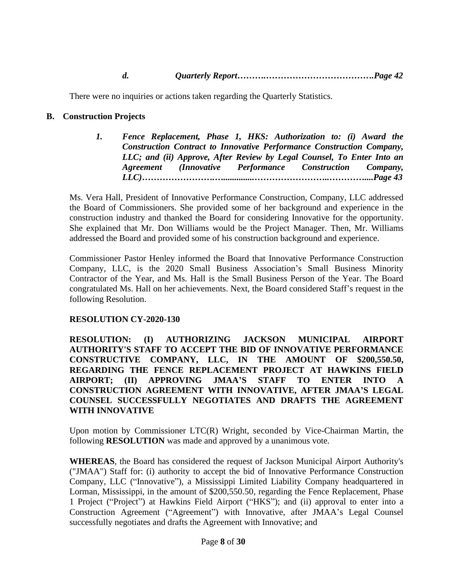There were no inquiries or actions taken regarding the Quarterly Statistics.

### **B. Construction Projects**

*1. Fence Replacement, Phase 1, HKS: Authorization to: (i) Award the Construction Contract to Innovative Performance Construction Company, LLC; and (ii) Approve, After Review by Legal Counsel, To Enter Into an Agreement (Innovative Performance Construction Company, LLC)…………………….…..............……………………..…………....Page 43*

Ms. Vera Hall, President of Innovative Performance Construction, Company, LLC addressed the Board of Commissioners. She provided some of her background and experience in the construction industry and thanked the Board for considering Innovative for the opportunity. She explained that Mr. Don Williams would be the Project Manager. Then, Mr. Williams addressed the Board and provided some of his construction background and experience.

Commissioner Pastor Henley informed the Board that Innovative Performance Construction Company, LLC, is the 2020 Small Business Association's Small Business Minority Contractor of the Year, and Ms. Hall is the Small Business Person of the Year. The Board congratulated Ms. Hall on her achievements. Next, the Board considered Staff's request in the following Resolution.

### **RESOLUTION CY-2020-130**

**RESOLUTION: (I) AUTHORIZING JACKSON MUNICIPAL AIRPORT AUTHORITY'S STAFF TO ACCEPT THE BID OF INNOVATIVE PERFORMANCE CONSTRUCTIVE COMPANY, LLC, IN THE AMOUNT OF \$200,550.50, REGARDING THE FENCE REPLACEMENT PROJECT AT HAWKINS FIELD AIRPORT; (II) APPROVING JMAA'S STAFF TO ENTER INTO A CONSTRUCTION AGREEMENT WITH INNOVATIVE, AFTER JMAA'S LEGAL COUNSEL SUCCESSFULLY NEGOTIATES AND DRAFTS THE AGREEMENT WITH INNOVATIVE**

Upon motion by Commissioner LTC(R) Wright, seconded by Vice-Chairman Martin, the following **RESOLUTION** was made and approved by a unanimous vote.

**WHEREAS**, the Board has considered the request of Jackson Municipal Airport Authority's ("JMAA") Staff for: (i) authority to accept the bid of Innovative Performance Construction Company, LLC ("Innovative"), a Mississippi Limited Liability Company headquartered in Lorman, Mississippi, in the amount of \$200,550.50, regarding the Fence Replacement, Phase 1 Project ("Project") at Hawkins Field Airport ("HKS"); and (ii) approval to enter into a Construction Agreement ("Agreement") with Innovative, after JMAA's Legal Counsel successfully negotiates and drafts the Agreement with Innovative; and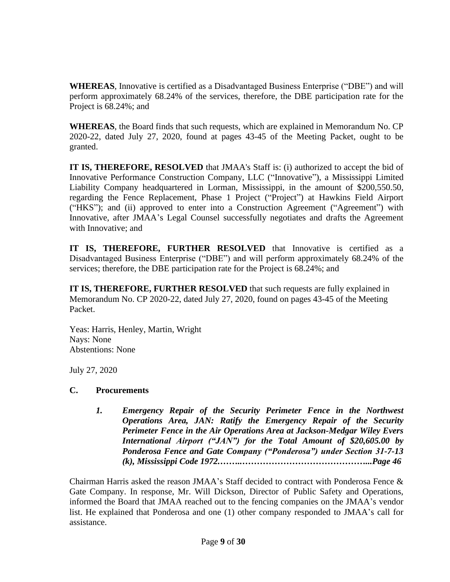**WHEREAS**, Innovative is certified as a Disadvantaged Business Enterprise ("DBE") and will perform approximately 68.24% of the services, therefore, the DBE participation rate for the Project is 68.24%; and

**WHEREAS**, the Board finds that such requests, which are explained in Memorandum No. CP 2020-22, dated July 27, 2020, found at pages 43-45 of the Meeting Packet, ought to be granted.

**IT IS, THEREFORE, RESOLVED** that JMAA's Staff is: (i) authorized to accept the bid of Innovative Performance Construction Company, LLC ("Innovative"), a Mississippi Limited Liability Company headquartered in Lorman, Mississippi, in the amount of \$200,550.50, regarding the Fence Replacement, Phase 1 Project ("Project") at Hawkins Field Airport ("HKS"); and (ii) approved to enter into a Construction Agreement ("Agreement") with Innovative, after JMAA's Legal Counsel successfully negotiates and drafts the Agreement with Innovative; and

**IT IS, THEREFORE, FURTHER RESOLVED** that Innovative is certified as a Disadvantaged Business Enterprise ("DBE") and will perform approximately 68.24% of the services; therefore, the DBE participation rate for the Project is 68.24%; and

**IT IS, THEREFORE, FURTHER RESOLVED** that such requests are fully explained in Memorandum No. CP 2020-22, dated July 27, 2020, found on pages 43-45 of the Meeting Packet.

Yeas: Harris, Henley, Martin, Wright Nays: None Abstentions: None

July 27, 2020

# **C. Procurements**

*1. Emergency Repair of the Security Perimeter Fence in the Northwest Operations Area, JAN: Ratify the Emergency Repair of the Security Perimeter Fence in the Air Operations Area at Jackson-Medgar Wiley Evers International Airport ("JAN") for the Total Amount of \$20,605.00 by Ponderosa Fence and Gate Company ("Ponderosa") under Section 31-7-13 (k), Mississippi Code 1972.……..……………………………………...Page 46*

Chairman Harris asked the reason JMAA's Staff decided to contract with Ponderosa Fence & Gate Company. In response, Mr. Will Dickson, Director of Public Safety and Operations, informed the Board that JMAA reached out to the fencing companies on the JMAA's vendor list. He explained that Ponderosa and one (1) other company responded to JMAA's call for assistance.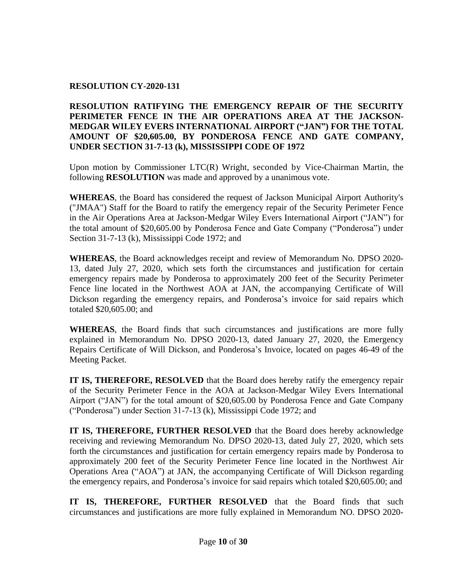### **RESOLUTION CY-2020-131**

**RESOLUTION RATIFYING THE EMERGENCY REPAIR OF THE SECURITY PERIMETER FENCE IN THE AIR OPERATIONS AREA AT THE JACKSON-MEDGAR WILEY EVERS INTERNATIONAL AIRPORT ("JAN") FOR THE TOTAL AMOUNT OF \$20,605.00, BY PONDEROSA FENCE AND GATE COMPANY, UNDER SECTION 31-7-13 (k), MISSISSIPPI CODE OF 1972**

Upon motion by Commissioner LTC(R) Wright, seconded by Vice-Chairman Martin, the following **RESOLUTION** was made and approved by a unanimous vote.

**WHEREAS**, the Board has considered the request of Jackson Municipal Airport Authority's ("JMAA") Staff for the Board to ratify the emergency repair of the Security Perimeter Fence in the Air Operations Area at Jackson-Medgar Wiley Evers International Airport ("JAN") for the total amount of \$20,605.00 by Ponderosa Fence and Gate Company ("Ponderosa") under Section 31-7-13 (k), Mississippi Code 1972; and

**WHEREAS**, the Board acknowledges receipt and review of Memorandum No. DPSO 2020- 13, dated July 27, 2020, which sets forth the circumstances and justification for certain emergency repairs made by Ponderosa to approximately 200 feet of the Security Perimeter Fence line located in the Northwest AOA at JAN, the accompanying Certificate of Will Dickson regarding the emergency repairs, and Ponderosa's invoice for said repairs which totaled \$20,605.00; and

**WHEREAS**, the Board finds that such circumstances and justifications are more fully explained in Memorandum No. DPSO 2020-13, dated January 27, 2020, the Emergency Repairs Certificate of Will Dickson, and Ponderosa's Invoice, located on pages 46-49 of the Meeting Packet.

**IT IS, THEREFORE, RESOLVED** that the Board does hereby ratify the emergency repair of the Security Perimeter Fence in the AOA at Jackson-Medgar Wiley Evers International Airport ("JAN") for the total amount of \$20,605.00 by Ponderosa Fence and Gate Company ("Ponderosa") under Section 31-7-13 (k), Mississippi Code 1972; and

**IT IS, THEREFORE, FURTHER RESOLVED** that the Board does hereby acknowledge receiving and reviewing Memorandum No. DPSO 2020-13, dated July 27, 2020, which sets forth the circumstances and justification for certain emergency repairs made by Ponderosa to approximately 200 feet of the Security Perimeter Fence line located in the Northwest Air Operations Area ("AOA") at JAN, the accompanying Certificate of Will Dickson regarding the emergency repairs, and Ponderosa's invoice for said repairs which totaled \$20,605.00; and

**IT IS, THEREFORE, FURTHER RESOLVED** that the Board finds that such circumstances and justifications are more fully explained in Memorandum NO. DPSO 2020-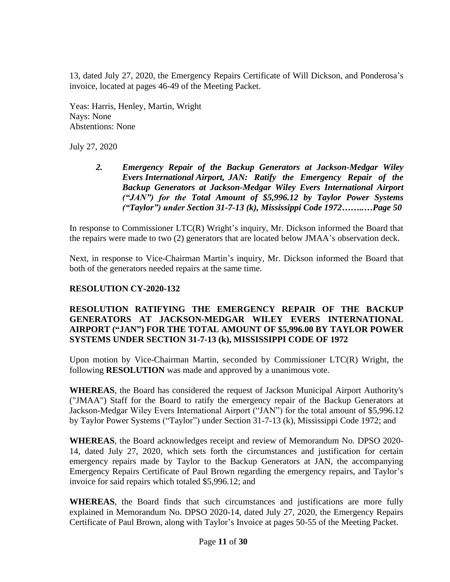13, dated July 27, 2020, the Emergency Repairs Certificate of Will Dickson, and Ponderosa's invoice, located at pages 46-49 of the Meeting Packet.

Yeas: Harris, Henley, Martin, Wright Nays: None Abstentions: None

July 27, 2020

*2. Emergency Repair of the Backup Generators at Jackson-Medgar Wiley Evers International Airport, JAN: Ratify the Emergency Repair of the Backup Generators at Jackson-Medgar Wiley Evers International Airport ("JAN") for the Total Amount of \$5,996.12 by Taylor Power Systems ("Taylor") under Section 31-7-13 (k), Mississippi Code 1972……..…Page 50*

In response to Commissioner LTC(R) Wright's inquiry, Mr. Dickson informed the Board that the repairs were made to two (2) generators that are located below JMAA's observation deck.

Next, in response to Vice-Chairman Martin's inquiry, Mr. Dickson informed the Board that both of the generators needed repairs at the same time.

### **RESOLUTION CY-2020-132**

#### **RESOLUTION RATIFYING THE EMERGENCY REPAIR OF THE BACKUP GENERATORS AT JACKSON-MEDGAR WILEY EVERS INTERNATIONAL AIRPORT ("JAN") FOR THE TOTAL AMOUNT OF \$5,996.00 BY TAYLOR POWER SYSTEMS UNDER SECTION 31-7-13 (k), MISSISSIPPI CODE OF 1972**

Upon motion by Vice-Chairman Martin, seconded by Commissioner LTC(R) Wright, the following **RESOLUTION** was made and approved by a unanimous vote.

**WHEREAS**, the Board has considered the request of Jackson Municipal Airport Authority's ("JMAA") Staff for the Board to ratify the emergency repair of the Backup Generators at Jackson-Medgar Wiley Evers International Airport ("JAN") for the total amount of \$5,996.12 by Taylor Power Systems ("Taylor") under Section 31-7-13 (k), Mississippi Code 1972; and

**WHEREAS**, the Board acknowledges receipt and review of Memorandum No. DPSO 2020- 14, dated July 27, 2020, which sets forth the circumstances and justification for certain emergency repairs made by Taylor to the Backup Generators at JAN, the accompanying Emergency Repairs Certificate of Paul Brown regarding the emergency repairs, and Taylor's invoice for said repairs which totaled \$5,996.12; and

**WHEREAS**, the Board finds that such circumstances and justifications are more fully explained in Memorandum No. DPSO 2020-14, dated July 27, 2020, the Emergency Repairs Certificate of Paul Brown, along with Taylor's Invoice at pages 50-55 of the Meeting Packet.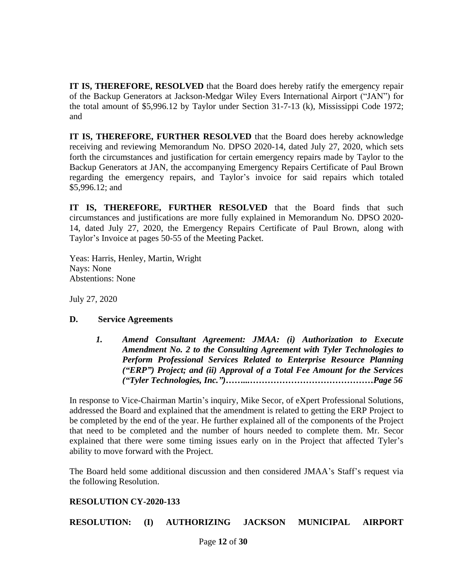**IT IS, THEREFORE, RESOLVED** that the Board does hereby ratify the emergency repair of the Backup Generators at Jackson-Medgar Wiley Evers International Airport ("JAN") for the total amount of \$5,996.12 by Taylor under Section 31-7-13 (k), Mississippi Code 1972; and

**IT IS, THEREFORE, FURTHER RESOLVED** that the Board does hereby acknowledge receiving and reviewing Memorandum No. DPSO 2020-14, dated July 27, 2020, which sets forth the circumstances and justification for certain emergency repairs made by Taylor to the Backup Generators at JAN, the accompanying Emergency Repairs Certificate of Paul Brown regarding the emergency repairs, and Taylor's invoice for said repairs which totaled \$5,996.12; and

**IT IS, THEREFORE, FURTHER RESOLVED** that the Board finds that such circumstances and justifications are more fully explained in Memorandum No. DPSO 2020- 14, dated July 27, 2020, the Emergency Repairs Certificate of Paul Brown, along with Taylor's Invoice at pages 50-55 of the Meeting Packet.

Yeas: Harris, Henley, Martin, Wright Nays: None Abstentions: None

July 27, 2020

# **D. Service Agreements**

*1. Amend Consultant Agreement: JMAA: (i) Authorization to Execute Amendment No. 2 to the Consulting Agreement with Tyler Technologies to Perform Professional Services Related to Enterprise Resource Planning ("ERP") Project; and (ii) Approval of a Total Fee Amount for the Services ("Tyler Technologies, Inc.")……...……………………………………Page 56*

In response to Vice-Chairman Martin's inquiry, Mike Secor, of eXpert Professional Solutions, addressed the Board and explained that the amendment is related to getting the ERP Project to be completed by the end of the year. He further explained all of the components of the Project that need to be completed and the number of hours needed to complete them. Mr. Secor explained that there were some timing issues early on in the Project that affected Tyler's ability to move forward with the Project.

The Board held some additional discussion and then considered JMAA's Staff's request via the following Resolution.

# **RESOLUTION CY-2020-133**

**RESOLUTION: (I) AUTHORIZING JACKSON MUNICIPAL AIRPORT**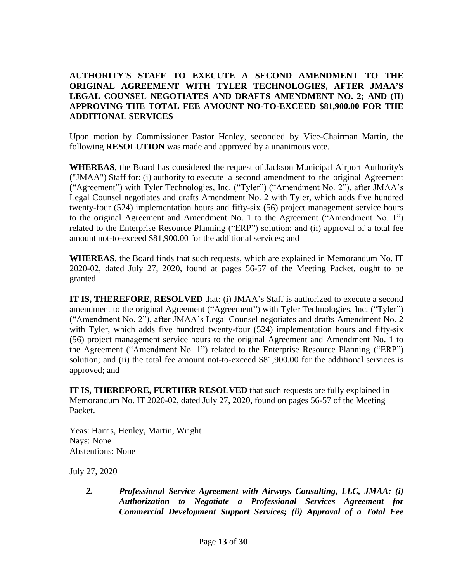### **AUTHORITY'S STAFF TO EXECUTE A SECOND AMENDMENT TO THE ORIGINAL AGREEMENT WITH TYLER TECHNOLOGIES, AFTER JMAA'S LEGAL COUNSEL NEGOTIATES AND DRAFTS AMENDMENT NO. 2; AND (II) APPROVING THE TOTAL FEE AMOUNT NO-TO-EXCEED \$81,900.00 FOR THE ADDITIONAL SERVICES**

Upon motion by Commissioner Pastor Henley, seconded by Vice-Chairman Martin, the following **RESOLUTION** was made and approved by a unanimous vote.

**WHEREAS**, the Board has considered the request of Jackson Municipal Airport Authority's ("JMAA") Staff for: (i) authority to execute a second amendment to the original Agreement ("Agreement") with Tyler Technologies, Inc. ("Tyler") ("Amendment No. 2"), after JMAA's Legal Counsel negotiates and drafts Amendment No. 2 with Tyler, which adds five hundred twenty-four (524) implementation hours and fifty-six (56) project management service hours to the original Agreement and Amendment No. 1 to the Agreement ("Amendment No. 1") related to the Enterprise Resource Planning ("ERP") solution; and (ii) approval of a total fee amount not-to-exceed \$81,900.00 for the additional services; and

**WHEREAS**, the Board finds that such requests, which are explained in Memorandum No. IT 2020-02, dated July 27, 2020, found at pages 56-57 of the Meeting Packet, ought to be granted.

**IT IS, THEREFORE, RESOLVED** that: (i) JMAA's Staff is authorized to execute a second amendment to the original Agreement ("Agreement") with Tyler Technologies, Inc. ("Tyler") ("Amendment No. 2"), after JMAA's Legal Counsel negotiates and drafts Amendment No. 2 with Tyler, which adds five hundred twenty-four (524) implementation hours and fifty-six (56) project management service hours to the original Agreement and Amendment No. 1 to the Agreement ("Amendment No. 1") related to the Enterprise Resource Planning ("ERP") solution; and (ii) the total fee amount not-to-exceed \$81,900.00 for the additional services is approved; and

**IT IS, THEREFORE, FURTHER RESOLVED** that such requests are fully explained in Memorandum No. IT 2020-02, dated July 27, 2020, found on pages 56-57 of the Meeting Packet.

Yeas: Harris, Henley, Martin, Wright Nays: None Abstentions: None

July 27, 2020

*2. Professional Service Agreement with Airways Consulting, LLC, JMAA: (i) Authorization to Negotiate a Professional Services Agreement for Commercial Development Support Services; (ii) Approval of a Total Fee*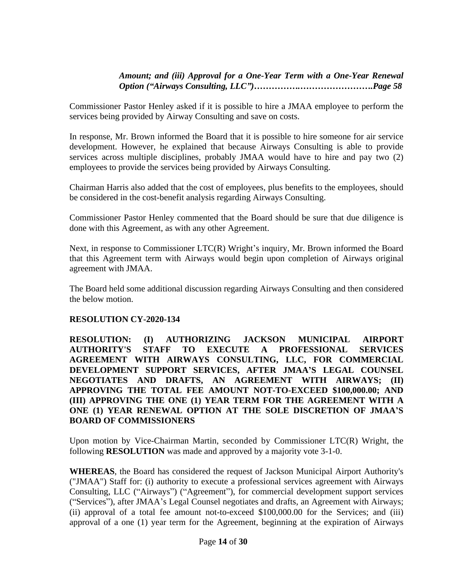### *Amount; and (iii) Approval for a One-Year Term with a One-Year Renewal Option ("Airways Consulting, LLC")…………….…………………….Page 58*

Commissioner Pastor Henley asked if it is possible to hire a JMAA employee to perform the services being provided by Airway Consulting and save on costs.

In response, Mr. Brown informed the Board that it is possible to hire someone for air service development. However, he explained that because Airways Consulting is able to provide services across multiple disciplines, probably JMAA would have to hire and pay two (2) employees to provide the services being provided by Airways Consulting.

Chairman Harris also added that the cost of employees, plus benefits to the employees, should be considered in the cost-benefit analysis regarding Airways Consulting.

Commissioner Pastor Henley commented that the Board should be sure that due diligence is done with this Agreement, as with any other Agreement.

Next, in response to Commissioner LTC(R) Wright's inquiry, Mr. Brown informed the Board that this Agreement term with Airways would begin upon completion of Airways original agreement with JMAA.

The Board held some additional discussion regarding Airways Consulting and then considered the below motion.

### **RESOLUTION CY-2020-134**

**RESOLUTION: (I) AUTHORIZING JACKSON MUNICIPAL AIRPORT AUTHORITY'S STAFF TO EXECUTE A PROFESSIONAL SERVICES AGREEMENT WITH AIRWAYS CONSULTING, LLC, FOR COMMERCIAL DEVELOPMENT SUPPORT SERVICES, AFTER JMAA'S LEGAL COUNSEL NEGOTIATES AND DRAFTS, AN AGREEMENT WITH AIRWAYS; (II) APPROVING THE TOTAL FEE AMOUNT NOT-TO-EXCEED \$100,000.00; AND (III) APPROVING THE ONE (1) YEAR TERM FOR THE AGREEMENT WITH A ONE (1) YEAR RENEWAL OPTION AT THE SOLE DISCRETION OF JMAA'S BOARD OF COMMISSIONERS**

Upon motion by Vice-Chairman Martin, seconded by Commissioner LTC(R) Wright, the following **RESOLUTION** was made and approved by a majority vote 3-1-0.

**WHEREAS**, the Board has considered the request of Jackson Municipal Airport Authority's ("JMAA") Staff for: (i) authority to execute a professional services agreement with Airways Consulting, LLC ("Airways") ("Agreement"), for commercial development support services ("Services"), after JMAA's Legal Counsel negotiates and drafts, an Agreement with Airways; (ii) approval of a total fee amount not-to-exceed \$100,000.00 for the Services; and (iii) approval of a one (1) year term for the Agreement, beginning at the expiration of Airways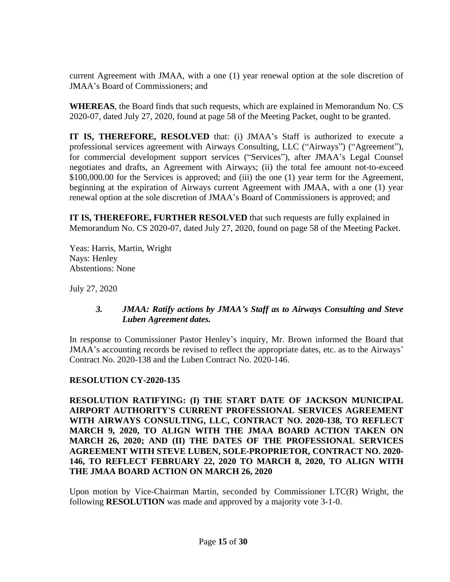current Agreement with JMAA, with a one (1) year renewal option at the sole discretion of JMAA's Board of Commissioners; and

**WHEREAS**, the Board finds that such requests, which are explained in Memorandum No. CS 2020-07, dated July 27, 2020, found at page 58 of the Meeting Packet, ought to be granted.

**IT IS, THEREFORE, RESOLVED** that: (i) JMAA's Staff is authorized to execute a professional services agreement with Airways Consulting, LLC ("Airways") ("Agreement"), for commercial development support services ("Services"), after JMAA's Legal Counsel negotiates and drafts, an Agreement with Airways; (ii) the total fee amount not-to-exceed \$100,000.00 for the Services is approved; and (iii) the one (1) year term for the Agreement, beginning at the expiration of Airways current Agreement with JMAA, with a one (1) year renewal option at the sole discretion of JMAA's Board of Commissioners is approved; and

**IT IS, THEREFORE, FURTHER RESOLVED** that such requests are fully explained in Memorandum No. CS 2020-07, dated July 27, 2020, found on page 58 of the Meeting Packet.

Yeas: Harris, Martin, Wright Nays: Henley Abstentions: None

July 27, 2020

### *3. JMAA: Ratify actions by JMAA's Staff as to Airways Consulting and Steve Luben Agreement dates.*

In response to Commissioner Pastor Henley's inquiry, Mr. Brown informed the Board that JMAA's accounting records be revised to reflect the appropriate dates, etc. as to the Airways' Contract No. 2020-138 and the Luben Contract No. 2020-146.

### **RESOLUTION CY-2020-135**

**RESOLUTION RATIFYING: (I) THE START DATE OF JACKSON MUNICIPAL AIRPORT AUTHORITY'S CURRENT PROFESSIONAL SERVICES AGREEMENT WITH AIRWAYS CONSULTING, LLC, CONTRACT NO. 2020-138, TO REFLECT MARCH 9, 2020, TO ALIGN WITH THE JMAA BOARD ACTION TAKEN ON MARCH 26, 2020; AND (II) THE DATES OF THE PROFESSIONAL SERVICES AGREEMENT WITH STEVE LUBEN, SOLE-PROPRIETOR, CONTRACT NO. 2020- 146, TO REFLECT FEBRUARY 22, 2020 TO MARCH 8, 2020, TO ALIGN WITH THE JMAA BOARD ACTION ON MARCH 26, 2020**

Upon motion by Vice-Chairman Martin, seconded by Commissioner LTC(R) Wright, the following **RESOLUTION** was made and approved by a majority vote 3-1-0.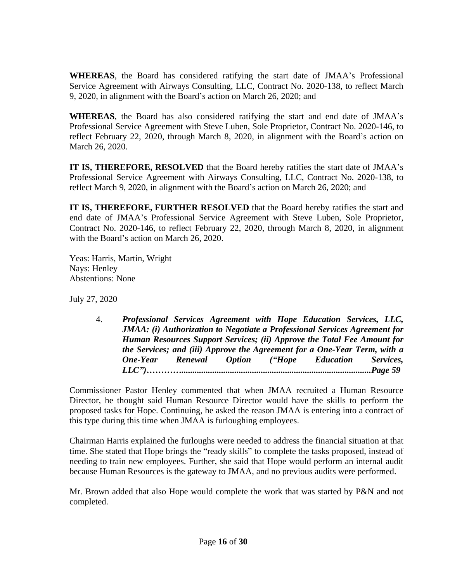**WHEREAS**, the Board has considered ratifying the start date of JMAA's Professional Service Agreement with Airways Consulting, LLC, Contract No. 2020-138, to reflect March 9, 2020, in alignment with the Board's action on March 26, 2020; and

**WHEREAS**, the Board has also considered ratifying the start and end date of JMAA's Professional Service Agreement with Steve Luben, Sole Proprietor, Contract No. 2020-146, to reflect February 22, 2020, through March 8, 2020, in alignment with the Board's action on March 26, 2020.

**IT IS, THEREFORE, RESOLVED** that the Board hereby ratifies the start date of JMAA's Professional Service Agreement with Airways Consulting, LLC, Contract No. 2020-138, to reflect March 9, 2020, in alignment with the Board's action on March 26, 2020; and

**IT IS, THEREFORE, FURTHER RESOLVED** that the Board hereby ratifies the start and end date of JMAA's Professional Service Agreement with Steve Luben, Sole Proprietor, Contract No. 2020-146, to reflect February 22, 2020, through March 8, 2020, in alignment with the Board's action on March 26, 2020.

Yeas: Harris, Martin, Wright Nays: Henley Abstentions: None

July 27, 2020

4. *Professional Services Agreement with Hope Education Services, LLC, JMAA: (i) Authorization to Negotiate a Professional Services Agreement for Human Resources Support Services; (ii) Approve the Total Fee Amount for the Services; and (iii) Approve the Agreement for a One-Year Term, with a One-Year Renewal Option ("Hope Education Services, LLC")…………......................................................................................Page 59*

Commissioner Pastor Henley commented that when JMAA recruited a Human Resource Director, he thought said Human Resource Director would have the skills to perform the proposed tasks for Hope. Continuing, he asked the reason JMAA is entering into a contract of this type during this time when JMAA is furloughing employees.

Chairman Harris explained the furloughs were needed to address the financial situation at that time. She stated that Hope brings the "ready skills" to complete the tasks proposed, instead of needing to train new employees. Further, she said that Hope would perform an internal audit because Human Resources is the gateway to JMAA, and no previous audits were performed.

Mr. Brown added that also Hope would complete the work that was started by P&N and not completed.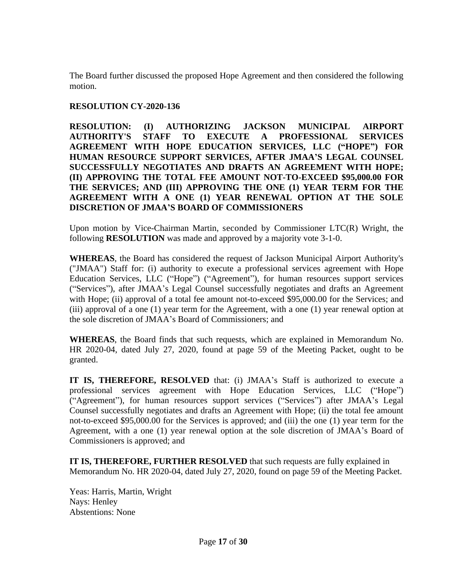The Board further discussed the proposed Hope Agreement and then considered the following motion.

### **RESOLUTION CY-2020-136**

**RESOLUTION: (I) AUTHORIZING JACKSON MUNICIPAL AIRPORT AUTHORITY'S STAFF TO EXECUTE A PROFESSIONAL SERVICES AGREEMENT WITH HOPE EDUCATION SERVICES, LLC ("HOPE") FOR HUMAN RESOURCE SUPPORT SERVICES, AFTER JMAA'S LEGAL COUNSEL SUCCESSFULLY NEGOTIATES AND DRAFTS AN AGREEMENT WITH HOPE; (II) APPROVING THE TOTAL FEE AMOUNT NOT-TO-EXCEED \$95,000.00 FOR THE SERVICES; AND (III) APPROVING THE ONE (1) YEAR TERM FOR THE AGREEMENT WITH A ONE (1) YEAR RENEWAL OPTION AT THE SOLE DISCRETION OF JMAA'S BOARD OF COMMISSIONERS**

Upon motion by Vice-Chairman Martin, seconded by Commissioner LTC(R) Wright, the following **RESOLUTION** was made and approved by a majority vote 3-1-0.

**WHEREAS**, the Board has considered the request of Jackson Municipal Airport Authority's ("JMAA") Staff for: (i) authority to execute a professional services agreement with Hope Education Services, LLC ("Hope") ("Agreement"), for human resources support services ("Services"), after JMAA's Legal Counsel successfully negotiates and drafts an Agreement with Hope; (ii) approval of a total fee amount not-to-exceed \$95,000.00 for the Services; and (iii) approval of a one (1) year term for the Agreement, with a one (1) year renewal option at the sole discretion of JMAA's Board of Commissioners; and

**WHEREAS**, the Board finds that such requests, which are explained in Memorandum No. HR 2020-04, dated July 27, 2020, found at page 59 of the Meeting Packet, ought to be granted.

**IT IS, THEREFORE, RESOLVED** that: (i) JMAA's Staff is authorized to execute a professional services agreement with Hope Education Services, LLC ("Hope") ("Agreement"), for human resources support services ("Services") after JMAA's Legal Counsel successfully negotiates and drafts an Agreement with Hope; (ii) the total fee amount not-to-exceed \$95,000.00 for the Services is approved; and (iii) the one (1) year term for the Agreement, with a one (1) year renewal option at the sole discretion of JMAA's Board of Commissioners is approved; and

**IT IS, THEREFORE, FURTHER RESOLVED** that such requests are fully explained in Memorandum No. HR 2020-04, dated July 27, 2020, found on page 59 of the Meeting Packet.

Yeas: Harris, Martin, Wright Nays: Henley Abstentions: None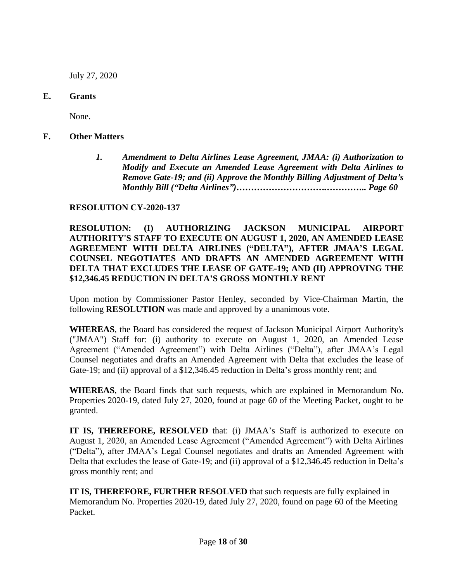July 27, 2020

### **E. Grants**

None.

- **F. Other Matters**
	- *1. Amendment to Delta Airlines Lease Agreement, JMAA: (i) Authorization to Modify and Execute an Amended Lease Agreement with Delta Airlines to Remove Gate-19; and (ii) Approve the Monthly Billing Adjustment of Delta's Monthly Bill ("Delta Airlines")………………………….………….. Page 60*

### **RESOLUTION CY-2020-137**

### **RESOLUTION: (I) AUTHORIZING JACKSON MUNICIPAL AIRPORT AUTHORITY'S STAFF TO EXECUTE ON AUGUST 1, 2020, AN AMENDED LEASE AGREEMENT WITH DELTA AIRLINES ("DELTA"), AFTER JMAA'S LEGAL COUNSEL NEGOTIATES AND DRAFTS AN AMENDED AGREEMENT WITH DELTA THAT EXCLUDES THE LEASE OF GATE-19; AND (II) APPROVING THE \$12,346.45 REDUCTION IN DELTA'S GROSS MONTHLY RENT**

Upon motion by Commissioner Pastor Henley, seconded by Vice-Chairman Martin, the following **RESOLUTION** was made and approved by a unanimous vote.

**WHEREAS**, the Board has considered the request of Jackson Municipal Airport Authority's ("JMAA") Staff for: (i) authority to execute on August 1, 2020, an Amended Lease Agreement ("Amended Agreement") with Delta Airlines ("Delta"), after JMAA's Legal Counsel negotiates and drafts an Amended Agreement with Delta that excludes the lease of Gate-19; and (ii) approval of a \$12,346.45 reduction in Delta's gross monthly rent; and

**WHEREAS**, the Board finds that such requests, which are explained in Memorandum No. Properties 2020-19, dated July 27, 2020, found at page 60 of the Meeting Packet, ought to be granted.

**IT IS, THEREFORE, RESOLVED** that: (i) JMAA's Staff is authorized to execute on August 1, 2020, an Amended Lease Agreement ("Amended Agreement") with Delta Airlines ("Delta"), after JMAA's Legal Counsel negotiates and drafts an Amended Agreement with Delta that excludes the lease of Gate-19; and (ii) approval of a \$12,346.45 reduction in Delta's gross monthly rent; and

**IT IS, THEREFORE, FURTHER RESOLVED** that such requests are fully explained in Memorandum No. Properties 2020-19, dated July 27, 2020, found on page 60 of the Meeting Packet.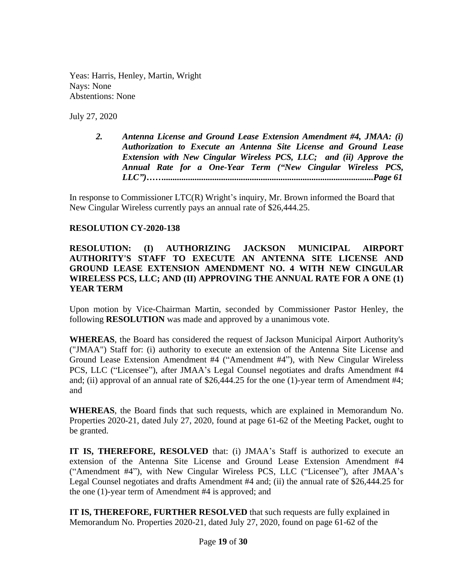Yeas: Harris, Henley, Martin, Wright Nays: None Abstentions: None

July 27, 2020

*2. Antenna License and Ground Lease Extension Amendment #4, JMAA: (i) Authorization to Execute an Antenna Site License and Ground Lease Extension with New Cingular Wireless PCS, LLC; and (ii) Approve the Annual Rate for a One-Year Term ("New Cingular Wireless PCS, LLC")……...............................................................................................Page 61*

In response to Commissioner LTC(R) Wright's inquiry, Mr. Brown informed the Board that New Cingular Wireless currently pays an annual rate of \$26,444.25.

#### **RESOLUTION CY-2020-138**

### **RESOLUTION: (I) AUTHORIZING JACKSON MUNICIPAL AIRPORT AUTHORITY'S STAFF TO EXECUTE AN ANTENNA SITE LICENSE AND GROUND LEASE EXTENSION AMENDMENT NO. 4 WITH NEW CINGULAR WIRELESS PCS, LLC; AND (II) APPROVING THE ANNUAL RATE FOR A ONE (1) YEAR TERM**

Upon motion by Vice-Chairman Martin, seconded by Commissioner Pastor Henley, the following **RESOLUTION** was made and approved by a unanimous vote.

**WHEREAS**, the Board has considered the request of Jackson Municipal Airport Authority's ("JMAA") Staff for: (i) authority to execute an extension of the Antenna Site License and Ground Lease Extension Amendment #4 ("Amendment #4"), with New Cingular Wireless PCS, LLC ("Licensee"), after JMAA's Legal Counsel negotiates and drafts Amendment #4 and; (ii) approval of an annual rate of \$26,444.25 for the one (1)-year term of Amendment #4; and

**WHEREAS**, the Board finds that such requests, which are explained in Memorandum No. Properties 2020-21, dated July 27, 2020, found at page 61-62 of the Meeting Packet, ought to be granted.

**IT IS, THEREFORE, RESOLVED** that: (i) JMAA's Staff is authorized to execute an extension of the Antenna Site License and Ground Lease Extension Amendment #4 ("Amendment #4"), with New Cingular Wireless PCS, LLC ("Licensee"), after JMAA's Legal Counsel negotiates and drafts Amendment #4 and; (ii) the annual rate of \$26,444.25 for the one (1)-year term of Amendment #4 is approved; and

**IT IS, THEREFORE, FURTHER RESOLVED** that such requests are fully explained in Memorandum No. Properties 2020-21, dated July 27, 2020, found on page 61-62 of the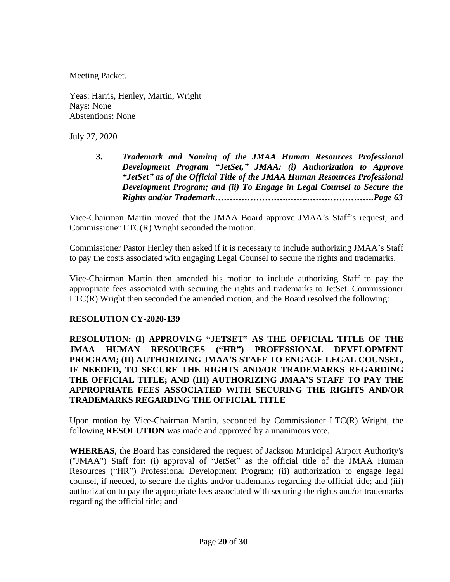Meeting Packet.

Yeas: Harris, Henley, Martin, Wright Nays: None Abstentions: None

July 27, 2020

**3.** *Trademark and Naming of the JMAA Human Resources Professional Development Program "JetSet," JMAA: (i) Authorization to Approve "JetSet" as of the Official Title of the JMAA Human Resources Professional Development Program; and (ii) To Engage in Legal Counsel to Secure the Rights and/or Trademark…………………….……..………………….Page 63*

Vice-Chairman Martin moved that the JMAA Board approve JMAA's Staff's request, and Commissioner LTC(R) Wright seconded the motion.

Commissioner Pastor Henley then asked if it is necessary to include authorizing JMAA's Staff to pay the costs associated with engaging Legal Counsel to secure the rights and trademarks.

Vice-Chairman Martin then amended his motion to include authorizing Staff to pay the appropriate fees associated with securing the rights and trademarks to JetSet. Commissioner LTC(R) Wright then seconded the amended motion, and the Board resolved the following:

# **RESOLUTION CY-2020-139**

**RESOLUTION: (I) APPROVING "JETSET" AS THE OFFICIAL TITLE OF THE JMAA HUMAN RESOURCES ("HR") PROFESSIONAL DEVELOPMENT PROGRAM; (II) AUTHORIZING JMAA'S STAFF TO ENGAGE LEGAL COUNSEL, IF NEEDED, TO SECURE THE RIGHTS AND/OR TRADEMARKS REGARDING THE OFFICIAL TITLE; AND (III) AUTHORIZING JMAA'S STAFF TO PAY THE APPROPRIATE FEES ASSOCIATED WITH SECURING THE RIGHTS AND/OR TRADEMARKS REGARDING THE OFFICIAL TITLE**

Upon motion by Vice-Chairman Martin, seconded by Commissioner LTC(R) Wright, the following **RESOLUTION** was made and approved by a unanimous vote.

**WHEREAS**, the Board has considered the request of Jackson Municipal Airport Authority's ("JMAA") Staff for: (i) approval of "JetSet" as the official title of the JMAA Human Resources ("HR") Professional Development Program; (ii) authorization to engage legal counsel, if needed, to secure the rights and/or trademarks regarding the official title; and (iii) authorization to pay the appropriate fees associated with securing the rights and/or trademarks regarding the official title; and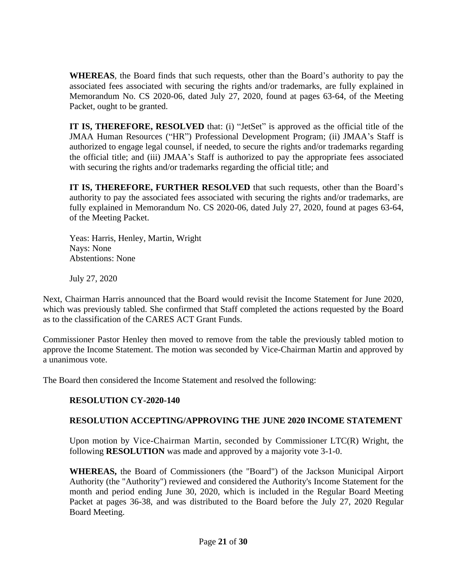**WHEREAS**, the Board finds that such requests, other than the Board's authority to pay the associated fees associated with securing the rights and/or trademarks, are fully explained in Memorandum No. CS 2020-06, dated July 27, 2020, found at pages 63-64, of the Meeting Packet, ought to be granted.

**IT IS, THEREFORE, RESOLVED** that: (i) "JetSet" is approved as the official title of the JMAA Human Resources ("HR") Professional Development Program; (ii) JMAA's Staff is authorized to engage legal counsel, if needed, to secure the rights and/or trademarks regarding the official title; and (iii) JMAA's Staff is authorized to pay the appropriate fees associated with securing the rights and/or trademarks regarding the official title; and

**IT IS, THEREFORE, FURTHER RESOLVED** that such requests, other than the Board's authority to pay the associated fees associated with securing the rights and/or trademarks, are fully explained in Memorandum No. CS 2020-06, dated July 27, 2020, found at pages 63-64, of the Meeting Packet.

Yeas: Harris, Henley, Martin, Wright Nays: None Abstentions: None

July 27, 2020

Next, Chairman Harris announced that the Board would revisit the Income Statement for June 2020, which was previously tabled. She confirmed that Staff completed the actions requested by the Board as to the classification of the CARES ACT Grant Funds.

Commissioner Pastor Henley then moved to remove from the table the previously tabled motion to approve the Income Statement. The motion was seconded by Vice-Chairman Martin and approved by a unanimous vote.

The Board then considered the Income Statement and resolved the following:

# **RESOLUTION CY-2020-140**

# **RESOLUTION ACCEPTING/APPROVING THE JUNE 2020 INCOME STATEMENT**

Upon motion by Vice-Chairman Martin, seconded by Commissioner LTC(R) Wright, the following **RESOLUTION** was made and approved by a majority vote 3-1-0.

**WHEREAS,** the Board of Commissioners (the "Board") of the Jackson Municipal Airport Authority (the "Authority") reviewed and considered the Authority's Income Statement for the month and period ending June 30, 2020, which is included in the Regular Board Meeting Packet at pages 36-38, and was distributed to the Board before the July 27, 2020 Regular Board Meeting.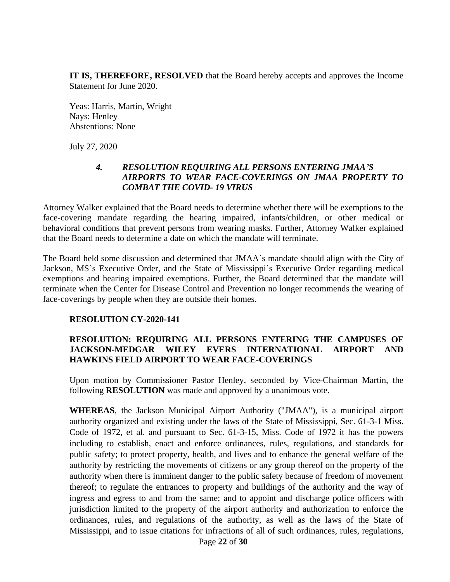**IT IS, THEREFORE, RESOLVED** that the Board hereby accepts and approves the Income Statement for June 2020.

Yeas: Harris, Martin, Wright Nays: Henley Abstentions: None

July 27, 2020

#### *4. RESOLUTION REQUIRING ALL PERSONS ENTERING JMAA'S AIRPORTS TO WEAR FACE-COVERINGS ON JMAA PROPERTY TO COMBAT THE COVID- 19 VIRUS*

Attorney Walker explained that the Board needs to determine whether there will be exemptions to the face-covering mandate regarding the hearing impaired, infants/children, or other medical or behavioral conditions that prevent persons from wearing masks. Further, Attorney Walker explained that the Board needs to determine a date on which the mandate will terminate.

The Board held some discussion and determined that JMAA's mandate should align with the City of Jackson, MS's Executive Order, and the State of Mississippi's Executive Order regarding medical exemptions and hearing impaired exemptions. Further, the Board determined that the mandate will terminate when the Center for Disease Control and Prevention no longer recommends the wearing of face-coverings by people when they are outside their homes.

### **RESOLUTION CY-2020-141**

### **RESOLUTION: REQUIRING ALL PERSONS ENTERING THE CAMPUSES OF JACKSON-MEDGAR WILEY EVERS INTERNATIONAL AIRPORT AND HAWKINS FIELD AIRPORT TO WEAR FACE-COVERINGS**

Upon motion by Commissioner Pastor Henley, seconded by Vice-Chairman Martin, the following **RESOLUTION** was made and approved by a unanimous vote.

Page **22** of **30 WHEREAS**, the Jackson Municipal Airport Authority ("JMAA"), is a municipal airport authority organized and existing under the laws of the State of Mississippi, Sec. 61-3-1 Miss. Code of 1972, et al. and pursuant to Sec. 61-3-15, Miss. Code of 1972 it has the powers including to establish, enact and enforce ordinances, rules, regulations, and standards for public safety; to protect property, health, and lives and to enhance the general welfare of the authority by restricting the movements of citizens or any group thereof on the property of the authority when there is imminent danger to the public safety because of freedom of movement thereof; to regulate the entrances to property and buildings of the authority and the way of ingress and egress to and from the same; and to appoint and discharge police officers with jurisdiction limited to the property of the airport authority and authorization to enforce the ordinances, rules, and regulations of the authority, as well as the laws of the State of Mississippi, and to issue citations for infractions of all of such ordinances, rules, regulations,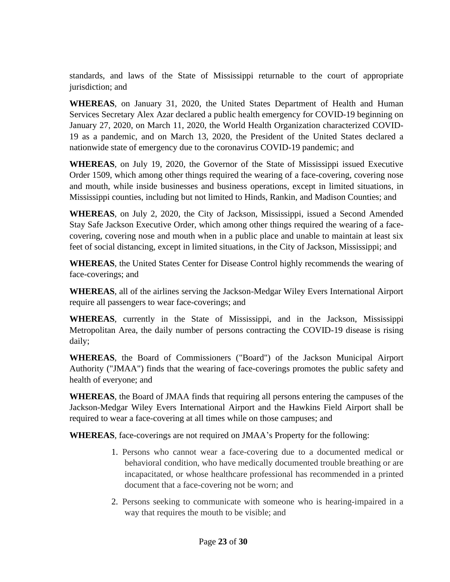standards, and laws of the State of Mississippi returnable to the court of appropriate jurisdiction; and

**WHEREAS**, on January 31, 2020, the United States Department of Health and Human Services Secretary Alex Azar declared a public health emergency for COVID-19 beginning on January 27, 2020, on March 11, 2020, the World Health Organization characterized COVID-19 as a pandemic, and on March 13, 2020, the President of the United States declared a nationwide state of emergency due to the coronavirus COVID-19 pandemic; and

**WHEREAS**, on July 19, 2020, the Governor of the State of Mississippi issued Executive Order 1509, which among other things required the wearing of a face-covering, covering nose and mouth, while inside businesses and business operations, except in limited situations, in Mississippi counties, including but not limited to Hinds, Rankin, and Madison Counties; and

**WHEREAS**, on July 2, 2020, the City of Jackson, Mississippi, issued a Second Amended Stay Safe Jackson Executive Order, which among other things required the wearing of a facecovering, covering nose and mouth when in a public place and unable to maintain at least six feet of social distancing, except in limited situations, in the City of Jackson, Mississippi; and

**WHEREAS**, the United States Center for Disease Control highly recommends the wearing of face-coverings; and

**WHEREAS**, all of the airlines serving the Jackson-Medgar Wiley Evers International Airport require all passengers to wear face-coverings; and

**WHEREAS**, currently in the State of Mississippi, and in the Jackson, Mississippi Metropolitan Area, the daily number of persons contracting the COVID-19 disease is rising daily;

**WHEREAS**, the Board of Commissioners ("Board") of the Jackson Municipal Airport Authority ("JMAA") finds that the wearing of face-coverings promotes the public safety and health of everyone; and

**WHEREAS**, the Board of JMAA finds that requiring all persons entering the campuses of the Jackson-Medgar Wiley Evers International Airport and the Hawkins Field Airport shall be required to wear a face-covering at all times while on those campuses; and

**WHEREAS**, face-coverings are not required on JMAA's Property for the following:

- 1. Persons who cannot wear a face-covering due to a documented medical or behavioral condition, who have medically documented trouble breathing or are incapacitated, or whose healthcare professional has recommended in a printed document that a face-covering not be worn; and
- 2. Persons seeking to communicate with someone who is hearing-impaired in a way that requires the mouth to be visible; and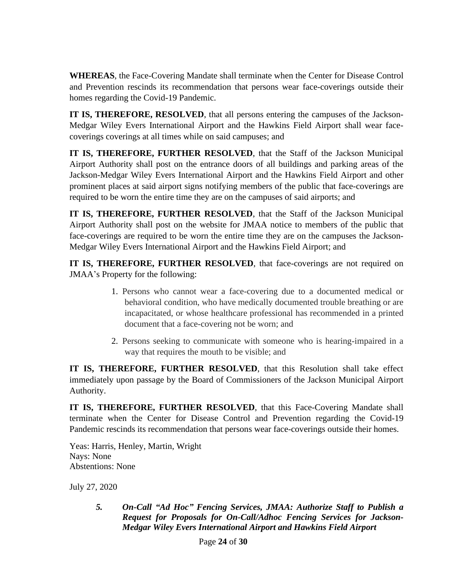**WHEREAS**, the Face-Covering Mandate shall terminate when the Center for Disease Control and Prevention rescinds its recommendation that persons wear face-coverings outside their homes regarding the Covid-19 Pandemic.

**IT IS, THEREFORE, RESOLVED**, that all persons entering the campuses of the Jackson-Medgar Wiley Evers International Airport and the Hawkins Field Airport shall wear facecoverings coverings at all times while on said campuses; and

**IT IS, THEREFORE, FURTHER RESOLVED**, that the Staff of the Jackson Municipal Airport Authority shall post on the entrance doors of all buildings and parking areas of the Jackson-Medgar Wiley Evers International Airport and the Hawkins Field Airport and other prominent places at said airport signs notifying members of the public that face-coverings are required to be worn the entire time they are on the campuses of said airports; and

**IT IS, THEREFORE, FURTHER RESOLVED**, that the Staff of the Jackson Municipal Airport Authority shall post on the website for JMAA notice to members of the public that face-coverings are required to be worn the entire time they are on the campuses the Jackson-Medgar Wiley Evers International Airport and the Hawkins Field Airport; and

**IT IS, THEREFORE, FURTHER RESOLVED**, that face-coverings are not required on JMAA's Property for the following:

- 1. Persons who cannot wear a face-covering due to a documented medical or behavioral condition, who have medically documented trouble breathing or are incapacitated, or whose healthcare professional has recommended in a printed document that a face-covering not be worn; and
- 2. Persons seeking to communicate with someone who is hearing-impaired in a way that requires the mouth to be visible; and

**IT IS, THEREFORE, FURTHER RESOLVED**, that this Resolution shall take effect immediately upon passage by the Board of Commissioners of the Jackson Municipal Airport Authority.

**IT IS, THEREFORE, FURTHER RESOLVED**, that this Face-Covering Mandate shall terminate when the Center for Disease Control and Prevention regarding the Covid-19 Pandemic rescinds its recommendation that persons wear face-coverings outside their homes.

Yeas: Harris, Henley, Martin, Wright Nays: None Abstentions: None

July 27, 2020

*5. On-Call "Ad Hoc" Fencing Services, JMAA: Authorize Staff to Publish a Request for Proposals for On-Call/Adhoc Fencing Services for Jackson-Medgar Wiley Evers International Airport and Hawkins Field Airport*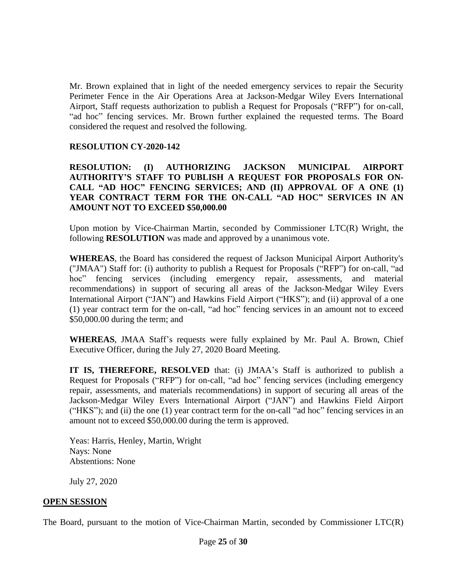Mr. Brown explained that in light of the needed emergency services to repair the Security Perimeter Fence in the Air Operations Area at Jackson-Medgar Wiley Evers International Airport, Staff requests authorization to publish a Request for Proposals ("RFP") for on-call, "ad hoc" fencing services. Mr. Brown further explained the requested terms. The Board considered the request and resolved the following.

#### **RESOLUTION CY-2020-142**

**RESOLUTION: (I) AUTHORIZING JACKSON MUNICIPAL AIRPORT AUTHORITY'S STAFF TO PUBLISH A REQUEST FOR PROPOSALS FOR ON-CALL "AD HOC" FENCING SERVICES; AND (II) APPROVAL OF A ONE (1) YEAR CONTRACT TERM FOR THE ON-CALL "AD HOC" SERVICES IN AN AMOUNT NOT TO EXCEED \$50,000.00**

Upon motion by Vice-Chairman Martin, seconded by Commissioner LTC(R) Wright, the following **RESOLUTION** was made and approved by a unanimous vote.

**WHEREAS**, the Board has considered the request of Jackson Municipal Airport Authority's ("JMAA") Staff for: (i) authority to publish a Request for Proposals ("RFP") for on-call, "ad hoc" fencing services (including emergency repair, assessments, and material recommendations) in support of securing all areas of the Jackson-Medgar Wiley Evers International Airport ("JAN") and Hawkins Field Airport ("HKS"); and (ii) approval of a one (1) year contract term for the on-call, "ad hoc" fencing services in an amount not to exceed \$50,000.00 during the term; and

**WHEREAS**, JMAA Staff's requests were fully explained by Mr. Paul A. Brown, Chief Executive Officer, during the July 27, 2020 Board Meeting.

**IT IS, THEREFORE, RESOLVED** that: (i) JMAA's Staff is authorized to publish a Request for Proposals ("RFP") for on-call, "ad hoc" fencing services (including emergency repair, assessments, and materials recommendations) in support of securing all areas of the Jackson-Medgar Wiley Evers International Airport ("JAN") and Hawkins Field Airport ("HKS"); and (ii) the one (1) year contract term for the on-call "ad hoc" fencing services in an amount not to exceed \$50,000.00 during the term is approved.

Yeas: Harris, Henley, Martin, Wright Nays: None Abstentions: None

July 27, 2020

#### **OPEN SESSION**

The Board, pursuant to the motion of Vice-Chairman Martin, seconded by Commissioner LTC(R)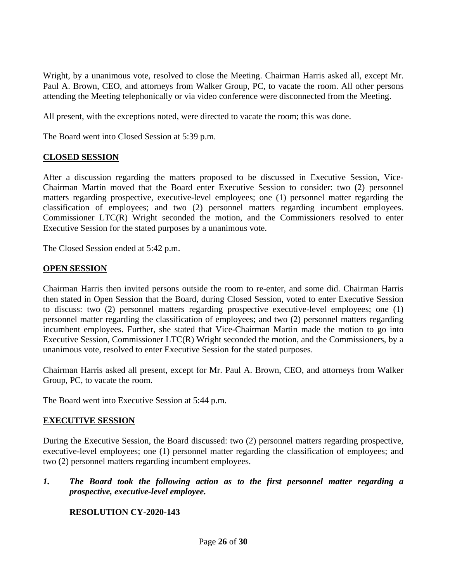Wright, by a unanimous vote, resolved to close the Meeting. Chairman Harris asked all, except Mr. Paul A. Brown, CEO, and attorneys from Walker Group, PC, to vacate the room. All other persons attending the Meeting telephonically or via video conference were disconnected from the Meeting.

All present, with the exceptions noted, were directed to vacate the room; this was done.

The Board went into Closed Session at 5:39 p.m.

# **CLOSED SESSION**

After a discussion regarding the matters proposed to be discussed in Executive Session, Vice-Chairman Martin moved that the Board enter Executive Session to consider: two (2) personnel matters regarding prospective, executive-level employees; one (1) personnel matter regarding the classification of employees; and two (2) personnel matters regarding incumbent employees. Commissioner LTC(R) Wright seconded the motion, and the Commissioners resolved to enter Executive Session for the stated purposes by a unanimous vote.

The Closed Session ended at 5:42 p.m.

### **OPEN SESSION**

Chairman Harris then invited persons outside the room to re-enter, and some did. Chairman Harris then stated in Open Session that the Board, during Closed Session, voted to enter Executive Session to discuss: two (2) personnel matters regarding prospective executive-level employees; one (1) personnel matter regarding the classification of employees; and two (2) personnel matters regarding incumbent employees. Further, she stated that Vice-Chairman Martin made the motion to go into Executive Session, Commissioner LTC(R) Wright seconded the motion, and the Commissioners, by a unanimous vote, resolved to enter Executive Session for the stated purposes.

Chairman Harris asked all present, except for Mr. Paul A. Brown, CEO, and attorneys from Walker Group, PC, to vacate the room.

The Board went into Executive Session at 5:44 p.m.

### **EXECUTIVE SESSION**

During the Executive Session, the Board discussed: two (2) personnel matters regarding prospective, executive-level employees; one (1) personnel matter regarding the classification of employees; and two (2) personnel matters regarding incumbent employees.

*1. The Board took the following action as to the first personnel matter regarding a prospective, executive-level employee.*

### **RESOLUTION CY-2020-143**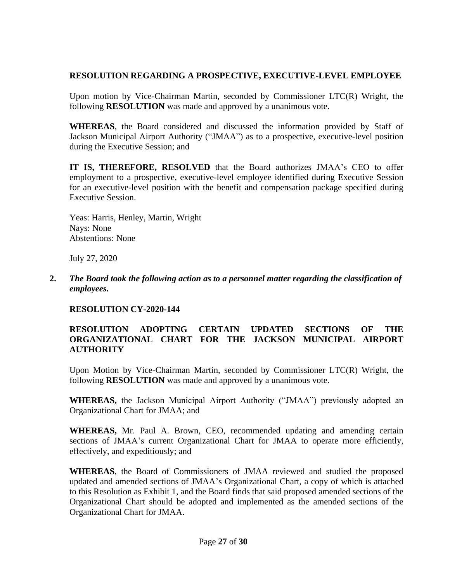### **RESOLUTION REGARDING A PROSPECTIVE, EXECUTIVE-LEVEL EMPLOYEE**

Upon motion by Vice-Chairman Martin, seconded by Commissioner  $\text{LTC}(R)$  Wright, the following **RESOLUTION** was made and approved by a unanimous vote.

**WHEREAS**, the Board considered and discussed the information provided by Staff of Jackson Municipal Airport Authority ("JMAA") as to a prospective, executive-level position during the Executive Session; and

**IT IS, THEREFORE, RESOLVED** that the Board authorizes JMAA's CEO to offer employment to a prospective, executive-level employee identified during Executive Session for an executive-level position with the benefit and compensation package specified during Executive Session.

Yeas: Harris, Henley, Martin, Wright Nays: None Abstentions: None

July 27, 2020

**2.** *The Board took the following action as to a personnel matter regarding the classification of employees.*

### **RESOLUTION CY-2020-144**

### **RESOLUTION ADOPTING CERTAIN UPDATED SECTIONS OF THE ORGANIZATIONAL CHART FOR THE JACKSON MUNICIPAL AIRPORT AUTHORITY**

Upon Motion by Vice-Chairman Martin, seconded by Commissioner LTC(R) Wright, the following **RESOLUTION** was made and approved by a unanimous vote.

**WHEREAS,** the Jackson Municipal Airport Authority ("JMAA") previously adopted an Organizational Chart for JMAA; and

**WHEREAS,** Mr. Paul A. Brown, CEO, recommended updating and amending certain sections of JMAA's current Organizational Chart for JMAA to operate more efficiently, effectively, and expeditiously; and

**WHEREAS**, the Board of Commissioners of JMAA reviewed and studied the proposed updated and amended sections of JMAA's Organizational Chart, a copy of which is attached to this Resolution as Exhibit 1, and the Board finds that said proposed amended sections of the Organizational Chart should be adopted and implemented as the amended sections of the Organizational Chart for JMAA.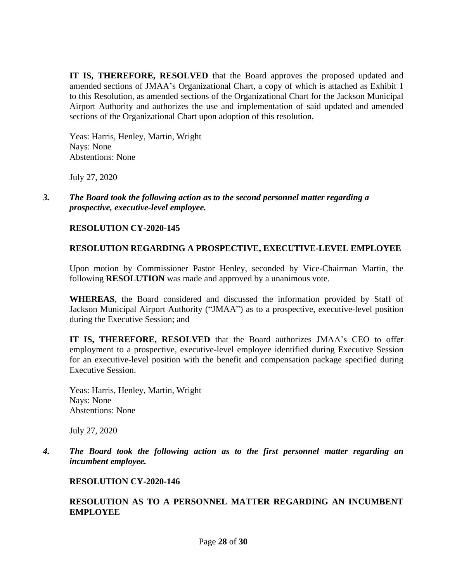**IT IS, THEREFORE, RESOLVED** that the Board approves the proposed updated and amended sections of JMAA's Organizational Chart, a copy of which is attached as Exhibit 1 to this Resolution, as amended sections of the Organizational Chart for the Jackson Municipal Airport Authority and authorizes the use and implementation of said updated and amended sections of the Organizational Chart upon adoption of this resolution.

Yeas: Harris, Henley, Martin, Wright Nays: None Abstentions: None

July 27, 2020

*3. The Board took the following action as to the second personnel matter regarding a prospective, executive-level employee.*

### **RESOLUTION CY-2020-145**

### **RESOLUTION REGARDING A PROSPECTIVE, EXECUTIVE-LEVEL EMPLOYEE**

Upon motion by Commissioner Pastor Henley, seconded by Vice-Chairman Martin, the following **RESOLUTION** was made and approved by a unanimous vote.

**WHEREAS**, the Board considered and discussed the information provided by Staff of Jackson Municipal Airport Authority ("JMAA") as to a prospective, executive-level position during the Executive Session; and

**IT IS, THEREFORE, RESOLVED** that the Board authorizes JMAA's CEO to offer employment to a prospective, executive-level employee identified during Executive Session for an executive-level position with the benefit and compensation package specified during Executive Session.

Yeas: Harris, Henley, Martin, Wright Nays: None Abstentions: None

July 27, 2020

*4. The Board took the following action as to the first personnel matter regarding an incumbent employee.*

### **RESOLUTION CY-2020-146**

#### **RESOLUTION AS TO A PERSONNEL MATTER REGARDING AN INCUMBENT EMPLOYEE**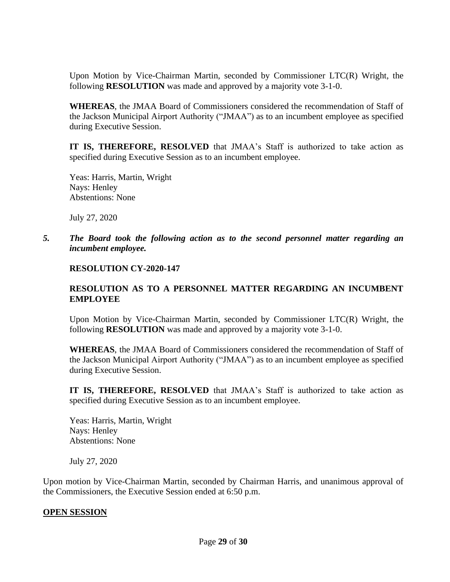Upon Motion by Vice-Chairman Martin, seconded by Commissioner LTC(R) Wright, the following **RESOLUTION** was made and approved by a majority vote 3-1-0.

**WHEREAS**, the JMAA Board of Commissioners considered the recommendation of Staff of the Jackson Municipal Airport Authority ("JMAA") as to an incumbent employee as specified during Executive Session.

**IT IS, THEREFORE, RESOLVED** that JMAA's Staff is authorized to take action as specified during Executive Session as to an incumbent employee.

Yeas: Harris, Martin, Wright Nays: Henley Abstentions: None

July 27, 2020

*5. The Board took the following action as to the second personnel matter regarding an incumbent employee.*

#### **RESOLUTION CY-2020-147**

#### **RESOLUTION AS TO A PERSONNEL MATTER REGARDING AN INCUMBENT EMPLOYEE**

Upon Motion by Vice-Chairman Martin, seconded by Commissioner LTC(R) Wright, the following **RESOLUTION** was made and approved by a majority vote 3-1-0.

**WHEREAS**, the JMAA Board of Commissioners considered the recommendation of Staff of the Jackson Municipal Airport Authority ("JMAA") as to an incumbent employee as specified during Executive Session.

**IT IS, THEREFORE, RESOLVED** that JMAA's Staff is authorized to take action as specified during Executive Session as to an incumbent employee.

Yeas: Harris, Martin, Wright Nays: Henley Abstentions: None

July 27, 2020

Upon motion by Vice-Chairman Martin, seconded by Chairman Harris, and unanimous approval of the Commissioners, the Executive Session ended at 6:50 p.m.

### **OPEN SESSION**